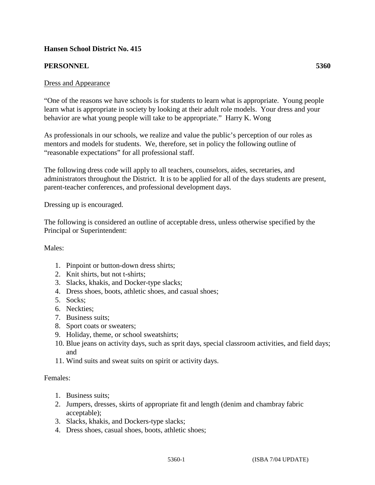# **Hansen School District No. 415**

## **PERSONNEL 5360**

### Dress and Appearance

"One of the reasons we have schools is for students to learn what is appropriate. Young people learn what is appropriate in society by looking at their adult role models. Your dress and your behavior are what young people will take to be appropriate." Harry K. Wong

As professionals in our schools, we realize and value the public's perception of our roles as mentors and models for students. We, therefore, set in policy the following outline of "reasonable expectations" for all professional staff.

The following dress code will apply to all teachers, counselors, aides, secretaries, and administrators throughout the District. It is to be applied for all of the days students are present, parent-teacher conferences, and professional development days.

Dressing up is encouraged.

The following is considered an outline of acceptable dress, unless otherwise specified by the Principal or Superintendent:

#### Males:

- 1. Pinpoint or button-down dress shirts;
- 2. Knit shirts, but not t-shirts;
- 3. Slacks, khakis, and Docker-type slacks;
- 4. Dress shoes, boots, athletic shoes, and casual shoes;
- 5. Socks;
- 6. Neckties;
- 7. Business suits;
- 8. Sport coats or sweaters;
- 9. Holiday, theme, or school sweatshirts;
- 10. Blue jeans on activity days, such as sprit days, special classroom activities, and field days; and
- 11. Wind suits and sweat suits on spirit or activity days.

#### Females:

- 1. Business suits;
- 2. Jumpers, dresses, skirts of appropriate fit and length (denim and chambray fabric acceptable);
- 3. Slacks, khakis, and Dockers-type slacks;
- 4. Dress shoes, casual shoes, boots, athletic shoes;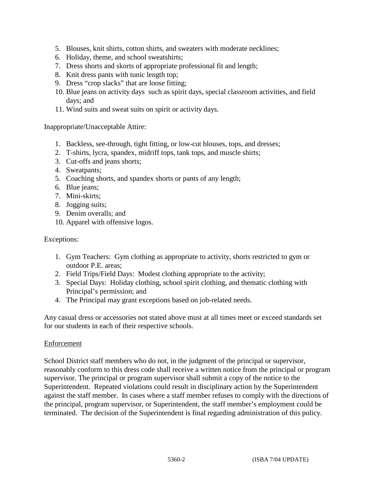- 5. Blouses, knit shirts, cotton shirts, and sweaters with moderate necklines;
- 6. Holiday, theme, and school sweatshirts;
- 7. Dress shorts and skorts of appropriate professional fit and length;
- 8. Knit dress pants with tunic length top;
- 9. Dress "crop slacks" that are loose fitting;
- 10. Blue jeans on activity days such as spirit days, special classroom activities, and field days; and
- 11. Wind suits and sweat suits on spirit or activity days.

Inappropriate/Unacceptable Attire:

- 1. Backless, see-through, tight fitting, or low-cut blouses, tops, and dresses;
- 2. T-shirts, lycra, spandex, midriff tops, tank tops, and muscle shirts;
- 3. Cut-offs and jeans shorts;
- 4. Sweatpants;
- 5. Coaching shorts, and spandex shorts or pants of any length;
- 6. Blue jeans;
- 7. Mini-skirts;
- 8. Jogging suits;
- 9. Denim overalls; and
- 10. Apparel with offensive logos.

Exceptions:

- 1. Gym Teachers: Gym clothing as appropriate to activity, shorts restricted to gym or outdoor P.E. areas;
- 2. Field Trips/Field Days: Modest clothing appropriate to the activity;
- 3. Special Days: Holiday clothing, school spirit clothing, and thematic clothing with Principal's permission; and
- 4. The Principal may grant exceptions based on job-related needs.

Any casual dress or accessories not stated above must at all times meet or exceed standards set for our students in each of their respective schools.

#### Enforcement

School District staff members who do not, in the judgment of the principal or supervisor, reasonably conform to this dress code shall receive a written notice from the principal or program supervisor. The principal or program supervisor shall submit a copy of the notice to the Superintendent. Repeated violations could result in disciplinary action by the Superintendent against the staff member. In cases where a staff member refuses to comply with the directions of the principal, program supervisor, or Superintendent, the staff member's employment could be terminated. The decision of the Superintendent is final regarding administration of this policy.